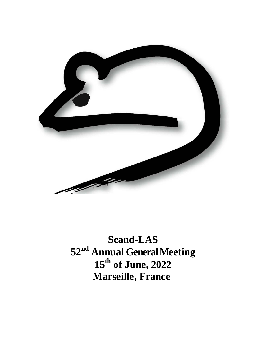

**Scand-LAS 52nd Annual General Meeting 15th of June, 2022 Marseille, France**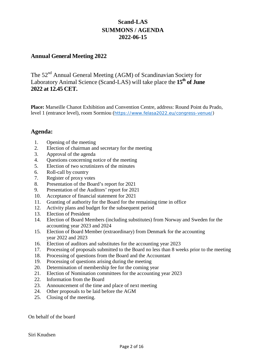## **Scand-LAS SUMMONS / AGENDA 2022-06-15**

## **Annual General Meeting 2022**

The 52<sup>nd</sup> Annual General Meeting (AGM) of Scandinavian Society for Laboratory Animal Science (Scand-LAS) will take place the **15<sup>th</sup> of June 2022 at 12.45 CET.**

**Place:** Marseille Chanot Exhibition and Convention Centre, address: Round Point du Prado, level 1 (entrance level), room Sormiou ([https://www.felasa2022.eu/congress-venue/\)](https://www.felasa2022.eu/congress-venue/)

## **Agenda:**

- 1. Opening of the meeting
- 2. Election of chairman and secretary for the meeting
- 3. Approval of the agenda
- 4. Questions concerning notice of the meeting
- 5. Election of two scrutinizers of the minutes
- 6. Roll-call by country
- 7. Register of proxy votes
- 8. Presentation of the Board's report for 2021
- 9. Presentation of the Auditors' report for 2021
- 10. Acceptance of financial statement for 2021
- 11. Granting of authority for the Board for the remaining time in office
- 12. Activity plans and budget for the subsequent period
- 13. Election of President
- 14. Election of Board Members (including substitutes) from Norway and Sweden for the accounting year 2023 and 2024
- 15. Election of Board Member (extraordinary) from Denmark for the accounting year 2022 and 2023
- 16. Election of auditors and substitutes for the accounting year 2023
- 17. Processing of proposals submitted to the Board no less than 8 weeks prior to the meeting
- 18. Processing of questions from the Board and the Accountant
- 19. Processing of questions arising during the meeting
- 20. Determination of membership fee for the coming year
- 21. Election of Nomination committees for the accounting year 2023
- 22. Information from the Board
- 23. Announcement of the time and place of next meeting
- 24. Other proposals to be laid before the AGM
- 25. Closing of the meeting.

On behalf of the board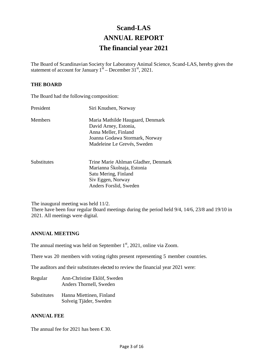# **Scand-LAS ANNUAL REPORT The financial year 2021**

The Board of Scandinavian Society for Laboratory Animal Science, Scand-LAS, hereby gives the statement of account for January  $1<sup>st</sup>$  – December 31<sup>st</sup>, 2021.

### **THE BOARD**

The Board had the following composition:

| President      | Siri Knudsen, Norway                |
|----------------|-------------------------------------|
| <b>Members</b> | Maria Mathilde Haugaard, Denmark    |
|                | David Arney, Estonia,               |
|                | Anna Meller, Finland                |
|                | Joanna Godawa Stormark, Norway      |
|                | Madeleine Le Grevés, Sweden         |
| Substitutes    | Trine Marie Ahlman Gladher, Denmark |
|                | Marianna Školnaja, Estonia          |
|                | Satu Mering, Finland                |
|                | Siv Eggen, Norway                   |
|                | Anders Forslid, Sweden              |

The inaugural meeting was held 11/2. There have been four regular Board meetings during the period held 9/4, 14/6, 23/8 and 19/10 in 2021. All meetings were digital.

### **ANNUAL MEETING**

The annual meeting was held on September  $1<sup>st</sup>$ , 2021, online via Zoom.

There was 20 members with voting rights present representing 5 member countries.

The auditors and their substitutes elected to review the financial year 2021 were:

Regular Ann-Christine Eklöf, Sweden Anders Thornell, Sweden Substitutes Hanna Miettinen, Finland Solveig Tjäder, Sweden

### **ANNUAL FEE**

The annual fee for 2021 has been  $\in$ 30.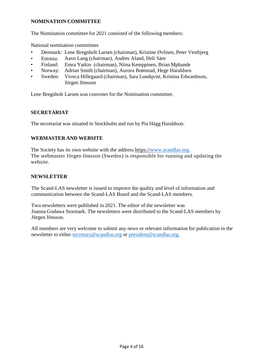### **NOMINATION COMMITTEE**

The Nomination committee for 2021 consisted of the following members:

National nomination committees

- Denmark: Lene Bregnholt Larsen (chairman), Kristine Øvlisen, Peter Vestbjerg
- Estonia: Aavo Lang (chairman), Andres Aland, Heli Säre
- Finland: Emra Yatkin (chairman), Niina Kemppinen, Brian Mphande
- Norway: Adrian Smith (chairman), Aurora Brønstad, Hege Haraldsen
- Sweden: Viveca Hillegaard (chairman), Sara Lundqvist, Kristina Edwardsson, Jörgen Jönsson

Lene Bregnholt Larsen was convener for the Nomination committee.

## **SECRETARIAT**

The secretariat was situated in Stockholm and run by Pia Hägg Haraldson.

## **WEBMASTER AND WEBSITE**

The Society has its own website with the address https://www.scandlas.org. The webmaster Jörgen Jönsson (Sweden) is responsible for running and updating the website.

### **NEWSLETTER**

The Scand-LAS newsletter is issued to improve the quality and level of information and communication between the Scand-LAS Board and the Scand-LAS members.

Two newsletters were published in 2021. The editor of the newsletter was Joanna Godawa Stormark. The newsletters were distributed to the Scand-LAS members by Jörgen Jönsson.

All members are very welcome to submit any news or relevant information for publication in the newsletter to either [secretary@scandlas.org](mailto:secretary@scandlas.org) or [president@scandlas.org.](mailto:president@scandlas.org)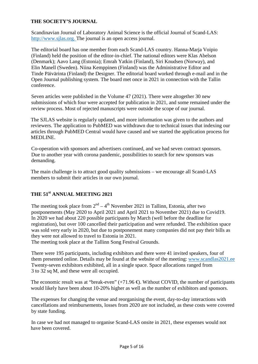## **THE SOCIETY'S JOURNAL**

Scandinavian Journal of Laboratory Animal Science is the official Journal of Scand-LAS: [http://www.sjlas.org.](http://www.sjlas.org/) The journal is an open access journal.

The editorial board has one member from each Scand-LAS country. Hanna-Marja Voipio (Finland) held the position of the editor-in-chief. The national editors were Klas Abelson (Denmark); Aavo Lang (Estonia); Emrah Yatkin (Finland), Siri Knudsen (Norway), and Elin Manell (Sweden). Niina Kemppinen (Finland) was the Administrative Editor and Tinde Päivärinta (Finland) the Designer. The editorial board worked through e-mail and in the Open Journal publishing system. The board met once in 2021 in connection with the Tallin conference.

Seven articles were published in the Volume 47 (2021). There were altogether 30 new submissions of which four were accepted for publication in 2021, and some remained under the review process. Most of rejected manuscripts were outside the scope of our journal.

The SJLAS website is regularly updated, and more information was given to the authors and reviewers. The application to PubMED was withdrawn due to technical issues that indexing our articles through PubMED Central would have caused and we started the application process for MEDLINE.

Co-operation with sponsors and advertisers continued, and we had seven contract sponsors. Due to another year with corona pandemic, possibilities to search for new sponsors was demanding.

The main challenge is to attract good quality submissions – we encourage all Scand-LAS members to submit their articles in our own journal.

## **THE 51st ANNUAL MEETING 2021**

The meeting took place from  $2<sup>nd</sup> - 4<sup>th</sup>$  November 2021 in Tallinn, Estonia, after two postponements (May 2020 to April 2021 and April 2021 to November 2021) due to Covid19. In 2020 we had about 220 possible participants by March (well before the deadline for registration), but over 100 cancelled their participation and were refunded. The exhibition space was sold very early in 2020, but due to postponement many companies did not pay their bills as they were not allowed to travel to Estonia in 2021.

The meeting took place at the Tallinn Song Festival Grounds.

There were 195 participants, including exhibitors and there were 41 invited speakers, four of them presented online. Details may be found at the website of the meeting: [www.scandlas2021.ee](http://www.scandlas2021.ee/) Twenty-seven exhibitors exhibited, all in a single space. Space allocations ranged from 3 to 32 sq M, and these were all occupied.

The economic result was at "break-even"  $(+71.96 \oplus$ . Without COVID, the number of participants would likely have been about 10-20% higher as well as the number of exhibitors and sponsors.

The expenses for changing the venue and reorganising the event, day-to-day interactions with cancellations and reimbursements, losses from 2020 are not included, as these costs were covered by state funding.

In case we had not managed to organise Scand-LAS onsite in 2021, these expenses would not have been covered.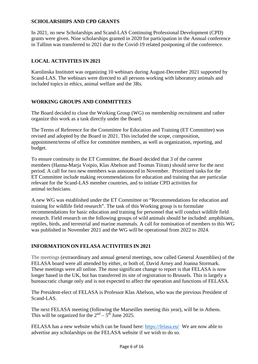## **SCHOLARSHIPS AND CPD GRANTS**

In 2021, no new Scholarships and Scand-LAS Continuing Professional Development (CPD) grants were given. Nine scholarships granted in 2020 for participation in the Annual conference in Tallinn was transferred to 2021 due to the Covid-19 related postponing of the conference.

## **LOCAL ACTIVITIES IN 2021**

Karolinska Institutet was organizing 10 webinars during August-December 2021 supported by Scand-LAS. The webinars were directed to all persons working with laboratory animals and included topics in ethics, animal welfare and the 3Rs.

## **WORKING GROUPS AND COMMITTEES**

The Board decided to close the Working Group (WG) on membership recruitment and rather organize this work as a task directly under the Board.

The Terms of Reference for the Committee for Education and Training (ET Committee) was revised and adopted by the Board in 2021. This included the scope, composition, appointment/terms of office for committee members, as well as organization, reporting, and budget.

To ensure continuity in the ET Committee, the Board decided that 3 of the current members (Hanna-Marja Voipio, Klas Abelson and Toomas Tiirats) should serve for the next period. A call for two new members was announced in November. Prioritized tasks for the ET Committee include making recommendations for education and training that are particular relevant for the Scand-LAS member countries, and to initiate CPD activities for animal technicians.

A new WG was established under the ET Committee on "Recommendations for education and training for wildlife field research". The task of this Working group is to formulate recommendations for basic education and training for personnel that will conduct wildlife field research. Field research on the following groups of wild animals should be included: amphibians, reptiles, birds, and terrestrial and marine mammals. A call for nomination of members to this WG was published in November 2021 and the WG will be operational from 2022 to 2024.

## **INFORMATION ON FELASA ACTIVITIES IN 2021**

The meetings (extraordinary and annual general meetings, now called General Assemblies) of the FELASA board were all attended by either, or both of, David Arney and Joanna Stormark. These meetings were all online. The most significant change to report is that FELASA is now longer based in the UK, but has transferred its site of registration to Brussels. This is largely a bureaucratic change only and is not expected to affect the operation and functions of FELASA.

The President-elect of FELASA is Professor Klas Abelson, who was the previous President of Scand-LAS.

The next FELASA meeting (following the Marseilles meeting this year), will be in Athens. This will be organized for the  $2<sup>nd</sup> - 5<sup>th</sup>$  June 2025.

FELASA has a new website which can be found here:<https://felasa.eu/>We are now able to advertise any scholarships on the FELASA website if we wish to do so.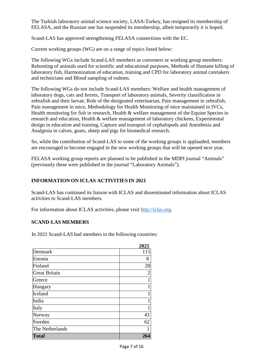The Turkish laboratory animal science society, LASA-Turkey, has resigned its membership of FELASA, and the Russian one has suspended its membership, albeit temporarily it is hoped.

Scand-LAS has approved strengthening FELASA connections with the EC.

Current working groups (WG) are on a range of topics listed below:

The following WGs include Scand-LAS members as conveners or working group members: Rehoming of animals used for scientific and educational purposes, Methods of Humane killing of laboratory fish, Harmonization of education, training and CPD for laboratory animal caretakers and technicians and Blood sampling of rodents.

The following WGs do not include Scand-LAS members: Welfare and health management of laboratory dogs, cats and ferrets, Transport of laboratory animals, Severity classification in zebrafish and their larvae, Role of the designated veterinarian, Pain management in zebrafish, Pain management in mice, Methodology for Health Monitoring of mice maintained in IVCs, Health monitoring for fish in research, Health & welfare management of the Equine Species in research and education, Health & welfare management of laboratory chickens, Experimental design in education and training, Capture and transport of cephalopods and Anesthesia and Analgesia in calves, goats, sheep and pigs for biomedical research.

So, while the contribution of Scand-LAS to some of the working groups is applauded, members are encouraged to become engaged in the new working groups that will be opened next year.

FELASA working group reports are planned to be published in the MDPI journal "Animals" (previously these were published in the journal "Laboratory Animals").

## **INFORMATION ON ICLAS ACTIVITIES IN 2021**

Scand-LAS has continued its liaison with ICLAS and disseminated information about ICLAS activities to Scand-LAS members.

For information about ICLAS activities, please visit [http://iclas.org.](http://iclas.org/)

## **SCAND-LAS MEMBERS**

In 2021 Scand-LAS had members in the following countries:

|                      | 2021           |
|----------------------|----------------|
| Denmark              | 115            |
| Estonia              | 8              |
| Finland              | 28             |
| <b>Great Britain</b> | $\overline{2}$ |
| Greece               | 1              |
| Hungary              |                |
| Iceland              | 1              |
| India                | 1              |
| Italy                |                |
| Norway               | 43             |
| Sweden               | 62             |
| The Netherlands      |                |
| <b>Total</b>         | 264            |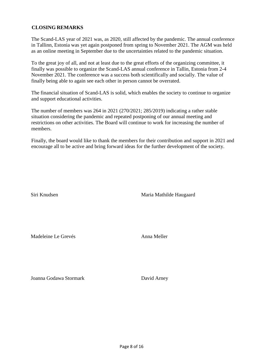## **CLOSING REMARKS**

The Scand-LAS year of 2021 was, as 2020, still affected by the pandemic. The annual conference in Tallinn, Estonia was yet again postponed from spring to November 2021. The AGM was held as an online meeting in September due to the uncertainties related to the pandemic situation.

To the great joy of all, and not at least due to the great efforts of the organizing committee, it finally was possible to organize the Scand-LAS annual conference in Tallin, Estonia from 2-4 November 2021. The conference was a success both scientifically and socially. The value of finally being able to again see each other in person cannot be overrated.

The financial situation of Scand-LAS is solid, which enables the society to continue to organize and support educational activities.

The number of members was 264 in 2021 (270/2021; 285/2019) indicating a rather stable situation considering the pandemic and repeated postponing of our annual meeting and restrictions on other activities. The Board will continue to work for increasing the number of members.

Finally, the board would like to thank the members for their contribution and support in 2021 and encourage all to be active and bring forward ideas for the further development of the society.

Siri Knudsen Maria Mathilde Haugaard

Madeleine Le Grevés **Anna Meller** 

Joanna Godawa Stormark David Arney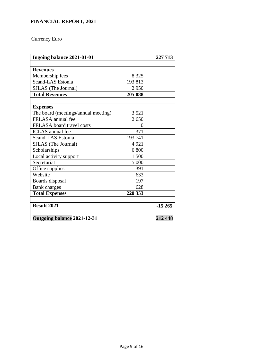## **FINANCIAL REPORT, 2021**

## Currency Euro

| Ingoing balance 2021-01-01          |         | 227 713  |
|-------------------------------------|---------|----------|
|                                     |         |          |
| <b>Revenues</b>                     |         |          |
| Membership fees                     | 8 3 2 5 |          |
| Scand-LAS Estonia                   | 193813  |          |
| SJLAS (The Journal)                 | 2950    |          |
| <b>Total Revenues</b>               | 205 088 |          |
|                                     |         |          |
| <b>Expenses</b>                     |         |          |
| The board (meetings/annual meeting) | 3 5 2 1 |          |
| FELASA annual fee                   | 2650    |          |
| FELASA board travel costs           | 0       |          |
| <b>ICLAS</b> annual fee             | 371     |          |
| Scand-LAS Estonia                   | 193 741 |          |
| SJLAS (The Journal)                 | 4921    |          |
| Scholarships                        | 6 800   |          |
| Local activity support              | 1 500   |          |
| Secretariat                         | 5 000   |          |
| Office supplies                     | 391     |          |
| Website                             | 633     |          |
| Boards disposal                     | 197     |          |
| <b>Bank</b> charges                 | 628     |          |
| <b>Total Expenses</b>               | 220 353 |          |
|                                     |         |          |
| <b>Result 2021</b>                  |         | $-15265$ |
|                                     |         |          |
| Outgoing balance 2021-12-31         |         | 212 448  |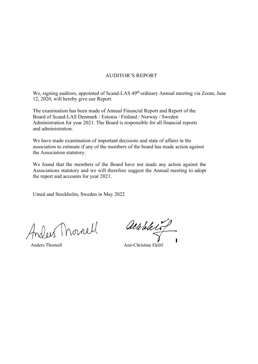### AUDITOR'S REPORT

We, signing auditors, appointed of Scand-LAS 49<sup>th</sup> ordinary Annual meeting via Zoom, June 12, 2020, will hereby give our Report.

The examination has been made of Annual Financial Report and Report of the Board of Scand-LAS Denmark / Estonia / Finland / Norway / Sweden Administration for year 2021. The Board is responsible for all financial reports and administration.

We have made examination of important decisions and state of affairs in the association to estimate if any of the members of the board has made action against the Association statutory.

We found that the members of the Board have not made any action against the Associations statutory and we will therefore suggest the Annual meeting to adopt the report and accounts for year 2021.

Umeå and Stockholm, Sweden in May 2022

riders Mornell

albeletot

Anders Thornell **Ann-Christine Eklöf**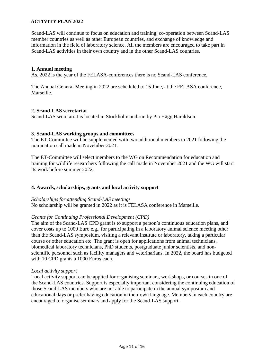## **ACTIVITY PLAN 2022**

Scand-LAS will continue to focus on education and training, co-operation between Scand-LAS member countries as well as other European countries, and exchange of knowledge and information in the field of laboratory science. All the members are encouraged to take part in Scand-LAS activities in their own country and in the other Scand-LAS countries.

### **1. Annual meeting**

As, 2022 is the year of the FELASA-conferences there is no Scand-LAS conference.

The Annual General Meeting in 2022 are scheduled to 15 June, at the FELASA conference, Marseille.

### **2. Scand-LAS secretariat**

Scand-LAS secretariat is located in Stockholm and run by Pia Hägg Haraldson.

### **3. Scand-LAS working groups and committees**

The ET-Committee will be supplemented with two additional members in 2021 following the nomination call made in November 2021.

The ET-Committee will select members to the WG on Recommendation for education and training for wildlife researchers following the call made in November 2021 and the WG will start its work before summer 2022.

### **4. Awards, scholarships, grants and local activity support**

*Scholarships for attending Scand-LAS meetings* No scholarship will be granted in 2022 as it is FELASA conference in Marseille.

### *Grants for Continuing Professional Development (CPD)*

The aim of the Scand-LAS CPD grant is to support a person's continuous education plans, and cover costs up to 1000 Euro e.g., for participating in a laboratory animal science meeting other than the Scand-LAS symposium, visiting a relevant institute or laboratory, taking a particular course or other education etc. The grant is open for applications from animal technicians, biomedical laboratory technicians, PhD students, postgraduate junior scientists, and nonscientific personnel such as facility managers and veterinarians. In 2022, the board has budgeted with 10 CPD grants à 1000 Euros each.

#### *Local activity support*

Local activity support can be applied for organising seminars, workshops, or courses in one of the Scand-LAS countries. Support is especially important considering the continuing education of those Scand-LAS members who are not able to participate in the annual symposium and educational days or prefer having education in their own language. Members in each country are encouraged to organise seminars and apply for the Scand-LAS support.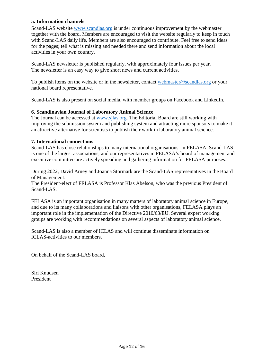## **5. Information channels**

Scand-LAS website [www.scandlas.org](http://www.scandlas.org/) is under continuous improvement by the webmaster together with the board. Members are encouraged to visit the website regularly to keep in touch with Scand-LAS daily life. Members are also encouraged to contribute. Feel free to send ideas for the pages; tell what is missing and needed there and send information about the local activities in your own country.

Scand-LAS newsletter is published regularly, with approximately four issues per year. The newsletter is an easy way to give short news and current activities.

To publish items on the website or in the newsletter, contact [webmaster@scandlas.org](mailto:webmaster@scandlas.org) or your national board representative.

Scand-LAS is also present on social media, with member groups on Facebook and LinkedIn.

### **6. Scandinavian Journal of Laboratory Animal Science**

The Journal can be accessed at [www.sjlas.org.](http://www.sjlas.org/) The Editorial Board are still working with improving the submission system and publishing system and attracting more sponsors to make it an attractive alternative for scientists to publish their work in laboratory animal science.

### **7. International connections**

Scand-LAS has close relationships to many international organisations. In FELASA, Scand-LAS is one of the largest associations, and our representatives in FELASA's board of management and executive committee are actively spreading and gathering information for FELASA purposes.

During 2022, David Arney and Joanna Stormark are the Scand-LAS representatives in the Board of Management.

The President-elect of FELASA is Professor Klas Abelson, who was the previous President of Scand-LAS.

FELASA is an important organisation in many matters of laboratory animal science in Europe, and due to its many collaborations and liaisons with other organisations, FELASA plays an important role in the implementation of the Directive 2010/63/EU. Several expert working groups are working with recommendations on several aspects of laboratory animal science.

Scand-LAS is also a member of ICLAS and will continue disseminate information on ICLAS-activities to our members.

On behalf of the Scand-LAS board,

Siri Knudsen President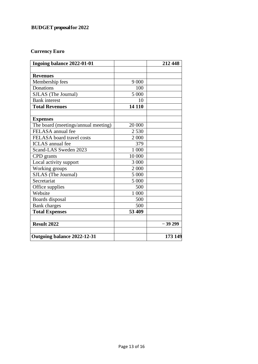## **Currency Euro**

| Ingoing balance 2022-01-01          |         | 212 448  |
|-------------------------------------|---------|----------|
|                                     |         |          |
| <b>Revenues</b>                     |         |          |
| Membership fees                     | 9 0 0 0 |          |
| Donations                           | 100     |          |
| SJLAS (The Journal)                 | 5 000   |          |
| <b>Bank</b> interest                | 10      |          |
| <b>Total Revenues</b>               | 14 110  |          |
| <b>Expenses</b>                     |         |          |
| The board (meetings/annual meeting) | 20 000  |          |
| FELASA annual fee                   | 2 5 3 0 |          |
| FELASA board travel costs           | 2 0 0 0 |          |
| <b>ICLAS</b> annual fee             | 379     |          |
| Scand-LAS Sweden 2023               | 1 000   |          |
| CPD grants                          | 10 000  |          |
| Local activity support              | 3 000   |          |
| Working groups                      | 2 000   |          |
| SJLAS (The Journal)                 | 5 000   |          |
| Secretariat                         | 5 000   |          |
| Office supplies                     | 500     |          |
| Website                             | 1 000   |          |
| Boards disposal                     | 500     |          |
| <b>Bank</b> charges                 | 500     |          |
| <b>Total Expenses</b>               | 53 409  |          |
| <b>Result 2022</b>                  |         | $-39299$ |
| Outgoing balance 2022-12-31         |         | 173 149  |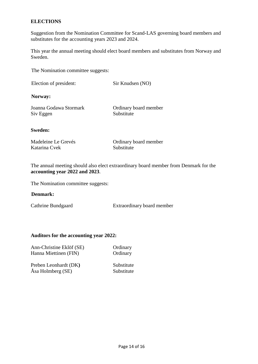### **ELECTIONS**

Suggestion from the Nomination Committee for Scand-LAS governing board members and substitutes for the accounting years 2023 and 2024.

This year the annual meeting should elect board members and substitutes from Norway and Sweden.

The Nomination committee suggests:

| Election of president: | Sir Knudsen (NO) |  |
|------------------------|------------------|--|
|                        |                  |  |

**Norway:**

| Joanna Godawa Stormark | Ordinary board member |
|------------------------|-----------------------|
| Siv Eggen              | Substitute            |

#### **Sweden:**

| Madeleine Le Grevés |
|---------------------|
| Katarina Cvek       |

Ordinary board member Substitute

The annual meeting should also elect extraordinary board member from Denmark for the **accounting year 2022 and 2023**.

The Nomination committee suggests:

### **Denmark:**

Cathrine Bundgaard Extraordinary board member

### **Auditors for the accounting year 2022:**

| Ann-Christine Eklöf (SE) | Ordinary   |
|--------------------------|------------|
| Hanna Miettinen (FIN)    | Ordinary   |
| Preben Leonhardt (DK)    | Substitute |
| Åsa Holmberg (SE)        | Substitute |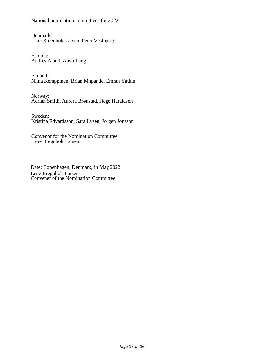National nomination committees for 2022:

Denmark: Lene Bregnholt Larsen, Peter Vestbjerg

Estonia: Andres Aland, Aavo Lang

Finland: Niina Kemppinen, Brian Mhpande, Emrah Yatkin

Norway: Adrian Smith, Aurora Brønstad, Hege Haraldsen

Sweden: Kristina Edvardsson, Sara Lysén, Jörgen Jönsson

Convenor for the Nomination Committee: Lene Bregnholt Larsen

Date: Copenhagen, Denmark, in May 2022 Lene Bregnholt Larsen Convener of the Nomination Committee